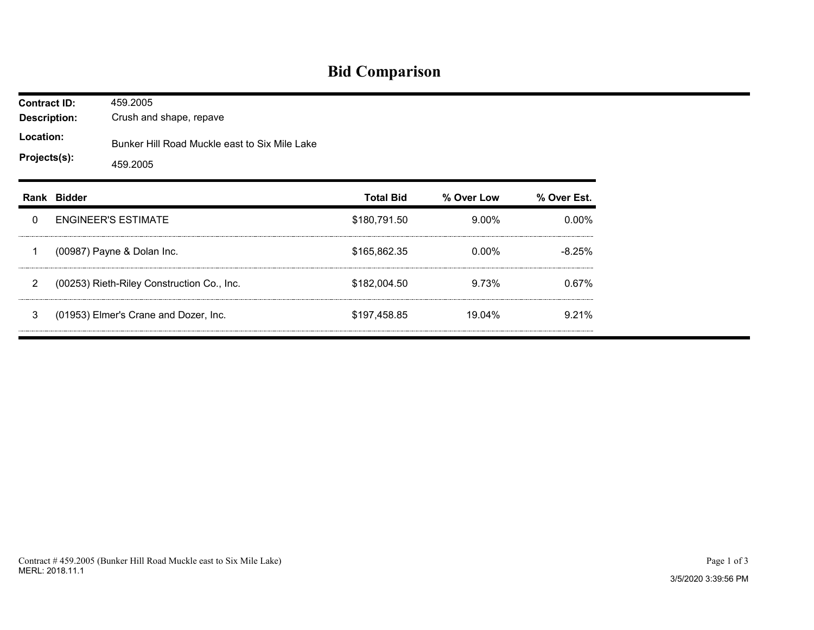## **Bid Comparison**

| <b>Contract ID:</b><br><b>Description:</b><br>Location:<br>Projects(s): |             | 459.2005<br>Crush and shape, repave                       |                  |            |             |  |  |  |  |
|-------------------------------------------------------------------------|-------------|-----------------------------------------------------------|------------------|------------|-------------|--|--|--|--|
|                                                                         |             | Bunker Hill Road Muckle east to Six Mile Lake<br>459.2005 |                  |            |             |  |  |  |  |
|                                                                         | Rank Bidder |                                                           | <b>Total Bid</b> | % Over Low | % Over Est. |  |  |  |  |
| 0                                                                       |             | <b>ENGINEER'S ESTIMATE</b>                                | \$180,791.50     | $9.00\%$   | 0.00%       |  |  |  |  |
| 1                                                                       |             | (00987) Payne & Dolan Inc.                                | \$165,862.35     | $0.00\%$   | $-8.25%$    |  |  |  |  |
| $\overline{2}$                                                          |             | (00253) Rieth-Riley Construction Co., Inc.                | \$182,004.50     | 9.73%      | 0.67%       |  |  |  |  |
| 3                                                                       |             | (01953) Elmer's Crane and Dozer, Inc.                     | \$197,458.85     | 19.04%     | 9.21%       |  |  |  |  |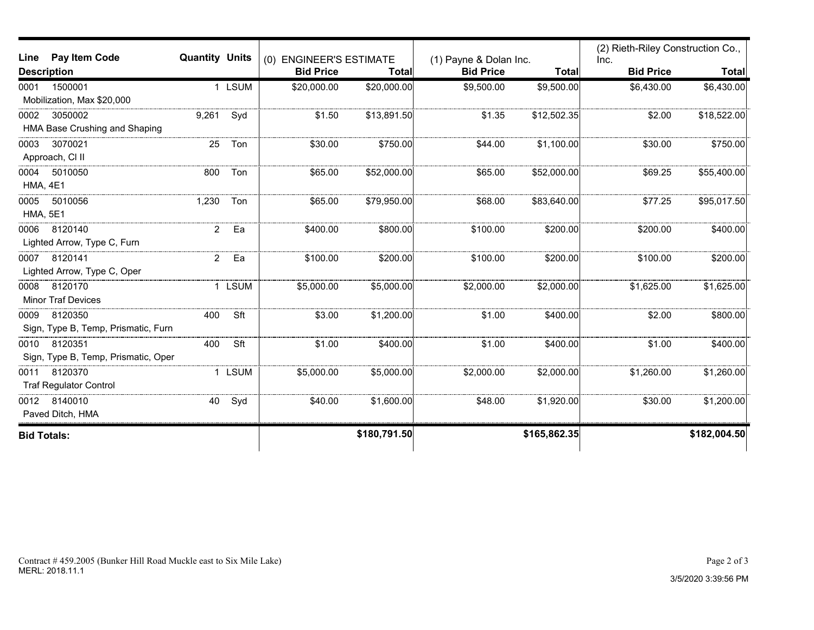| Pay Item Code<br>Line               | <b>Quantity Units</b> |             |                                             |              |                                            |              | (2) Rieth-Riley Construction Co., |              |
|-------------------------------------|-----------------------|-------------|---------------------------------------------|--------------|--------------------------------------------|--------------|-----------------------------------|--------------|
| <b>Description</b>                  |                       |             | (0) ENGINEER'S ESTIMATE<br><b>Bid Price</b> | Total        | (1) Payne & Dolan Inc.<br><b>Bid Price</b> | <b>Total</b> | Inc.<br><b>Bid Price</b>          | <b>Total</b> |
| 1500001<br>0001                     | 1                     | <b>LSUM</b> | \$20,000.00                                 | \$20,000.00  | \$9,500.00                                 | \$9,500.00   | \$6,430.00                        | \$6,430.00   |
| Mobilization, Max \$20,000          |                       |             |                                             |              |                                            |              |                                   |              |
| 3050002<br>0002                     | 9,261                 | Syd         | \$1.50                                      | \$13,891.50  | \$1.35                                     | \$12,502.35  | \$2.00                            | \$18,522.00  |
| HMA Base Crushing and Shaping       |                       |             |                                             |              |                                            |              |                                   |              |
| 3070021<br>0003                     | 25                    | Ton         | \$30.00                                     | \$750.00     | \$44.00                                    | \$1,100.00   | \$30.00                           | \$750.00     |
| Approach, CI II                     |                       |             |                                             |              |                                            |              |                                   |              |
| 5010050<br>0004                     | 800                   | Ton         | \$65.00                                     | \$52,000.00  | \$65.00                                    | \$52,000.00  | \$69.25                           | \$55,400.00  |
| <b>HMA, 4E1</b>                     |                       |             |                                             |              |                                            |              |                                   |              |
| 5010056<br>0005                     | 1,230                 | Ton         | \$65.00                                     | \$79,950.00  | \$68.00                                    | \$83,640.00  | \$77.25                           | \$95,017.50  |
| <b>HMA, 5E1</b>                     |                       |             |                                             |              |                                            |              |                                   |              |
| 8120140<br>0006                     | $\overline{2}$        | Ea          | \$400.00                                    | \$800.00     | \$100.00                                   | \$200.00     | \$200.00                          | \$400.00     |
| Lighted Arrow, Type C, Furn         |                       |             |                                             |              |                                            |              |                                   |              |
| 8120141<br>0007                     | $\overline{2}$        | Ea          | \$100.00                                    | \$200.00     | \$100.00                                   | \$200.00     | \$100.00                          | \$200.00     |
| Lighted Arrow, Type C, Oper         |                       |             |                                             |              |                                            |              |                                   |              |
| 8120170<br>0008                     |                       | 1 LSUM      | \$5,000.00                                  | \$5,000.00   | \$2,000.00                                 | \$2,000.00   | \$1,625.00                        | \$1,625.00   |
| <b>Minor Traf Devices</b>           |                       |             |                                             |              |                                            |              |                                   |              |
| 8120350<br>0009                     | 400                   | Sft         | \$3.00                                      | \$1,200.00   | \$1.00                                     | \$400.00     | \$2.00                            | \$800.00     |
| Sign, Type B, Temp, Prismatic, Furn |                       |             |                                             |              |                                            |              |                                   |              |
| 8120351<br>0010                     | 400                   | Sft         | \$1.00                                      | \$400.00     | \$1.00                                     | \$400.00     | \$1.00                            | \$400.00     |
| Sign, Type B, Temp, Prismatic, Oper |                       |             |                                             |              |                                            |              |                                   |              |
| 8120370<br>0011                     |                       | 1 LSUM      | \$5,000.00                                  | \$5,000.00   | \$2,000.00                                 | \$2,000.00   | \$1,260.00                        | \$1,260.00   |
| <b>Traf Regulator Control</b>       |                       |             |                                             |              |                                            |              |                                   |              |
| 8140010<br>0012                     | 40                    | Syd         | \$40.00                                     | \$1,600.00   | \$48.00                                    | \$1,920.00   | \$30.00                           | \$1,200.00   |
| Paved Ditch, HMA                    |                       |             |                                             |              |                                            |              |                                   |              |
| <b>Bid Totals:</b>                  |                       |             |                                             | \$180,791.50 |                                            | \$165,862.35 |                                   | \$182,004.50 |